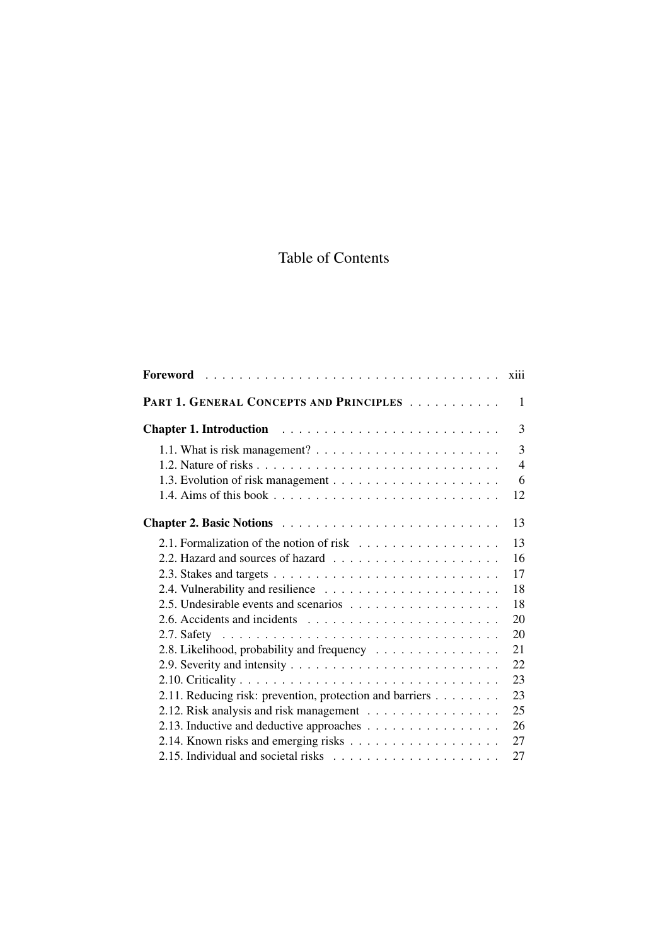## Table of Contents

|                                                                                                     | <b>X111</b>         |
|-----------------------------------------------------------------------------------------------------|---------------------|
| PART 1. GENERAL CONCEPTS AND PRINCIPLES                                                             | 1                   |
|                                                                                                     | 3                   |
| 1.1. What is risk management? $\ldots \ldots \ldots \ldots \ldots \ldots \ldots$                    | 3<br>$\overline{4}$ |
|                                                                                                     | 6<br>12             |
|                                                                                                     | 13                  |
| 2.1. Formalization of the notion of risk $\ldots \ldots \ldots \ldots \ldots$                       | 13<br>16            |
|                                                                                                     | 17                  |
|                                                                                                     | 18<br>18            |
|                                                                                                     | 20                  |
| 2.8. Likelihood, probability and frequency                                                          | 20<br>21            |
|                                                                                                     | 22                  |
|                                                                                                     | 23<br>23            |
| 2.11. Reducing risk: prevention, protection and barriers<br>2.12. Risk analysis and risk management | 25                  |
| 2.13. Inductive and deductive approaches                                                            | 26                  |
|                                                                                                     | 27                  |
|                                                                                                     | 27                  |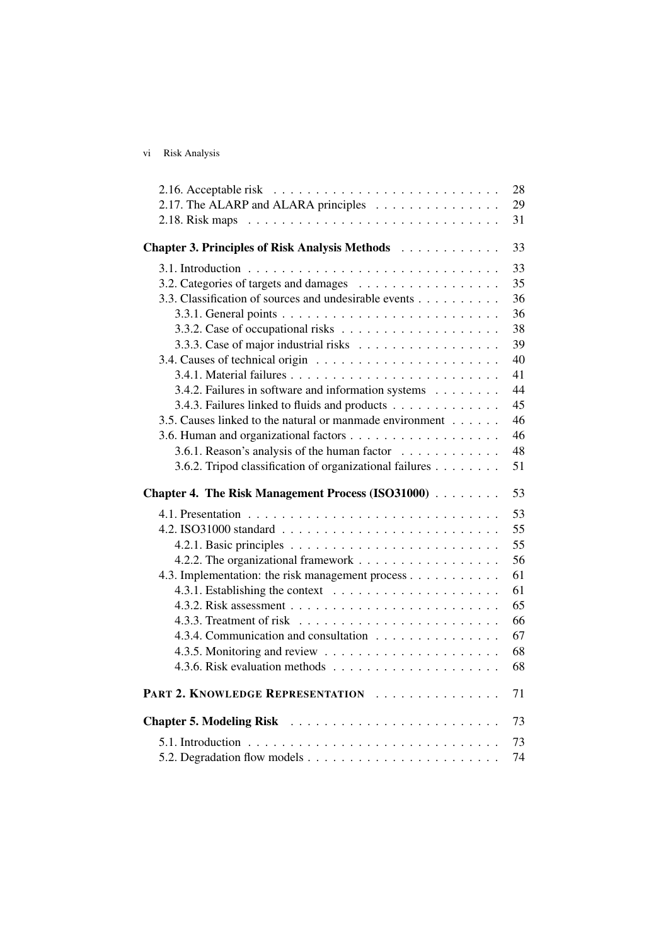vi Risk Analysis

| 2.16. Acceptable risk $\ldots \ldots \ldots \ldots \ldots \ldots \ldots \ldots$           | 28 |
|-------------------------------------------------------------------------------------------|----|
| 2.17. The ALARP and ALARA principles                                                      | 29 |
|                                                                                           | 31 |
|                                                                                           | 33 |
| Chapter 3. Principles of Risk Analysis Methods                                            |    |
|                                                                                           | 33 |
| 3.2. Categories of targets and damages                                                    | 35 |
| 3.3. Classification of sources and undesirable events                                     | 36 |
|                                                                                           | 36 |
|                                                                                           | 38 |
|                                                                                           | 39 |
|                                                                                           | 40 |
|                                                                                           | 41 |
| 3.4.2. Failures in software and information systems                                       | 44 |
| 3.4.3. Failures linked to fluids and products                                             | 45 |
| 3.5. Causes linked to the natural or manmade environment                                  | 46 |
|                                                                                           | 46 |
| 3.6.1. Reason's analysis of the human factor                                              | 48 |
| 3.6.2. Tripod classification of organizational failures                                   | 51 |
|                                                                                           |    |
| Chapter 4. The Risk Management Process (ISO31000)                                         | 53 |
|                                                                                           | 53 |
|                                                                                           | 55 |
|                                                                                           | 55 |
| 4.2.2. The organizational framework                                                       |    |
| 4.3. Implementation: the risk management process                                          | 56 |
|                                                                                           | 61 |
| 4.3.1. Establishing the context $\ldots \ldots \ldots \ldots \ldots \ldots$               | 61 |
|                                                                                           | 65 |
|                                                                                           | 66 |
| 4.3.4. Communication and consultation                                                     | 67 |
|                                                                                           | 68 |
|                                                                                           | 68 |
| PART 2. KNOWLEDGE REPRESENTATION                                                          | 71 |
|                                                                                           | 73 |
| 5.1. Introduction $\ldots \ldots \ldots \ldots \ldots \ldots \ldots \ldots \ldots \ldots$ | 73 |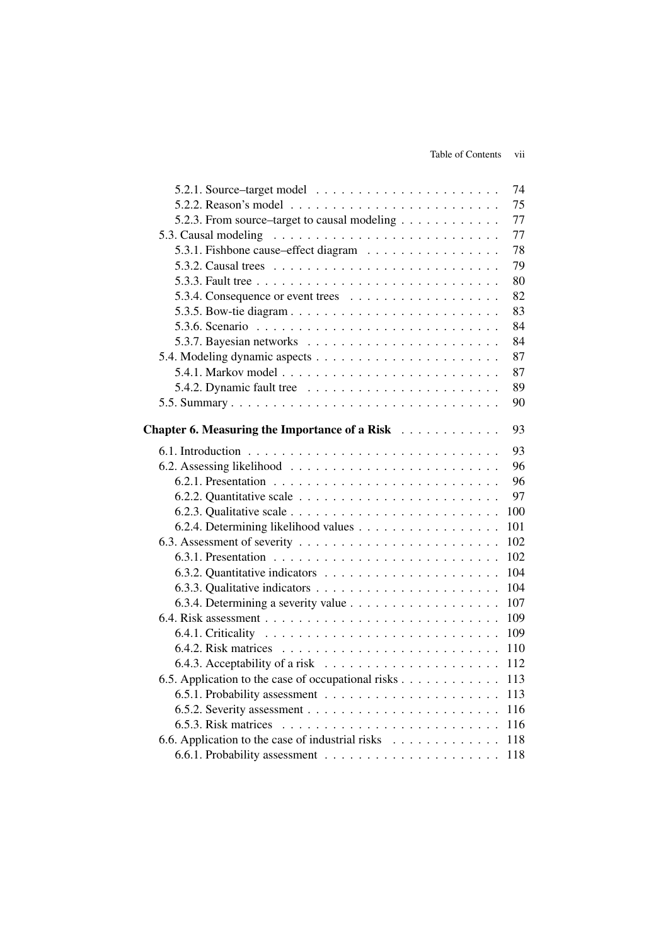|                                                                               | 74  |
|-------------------------------------------------------------------------------|-----|
|                                                                               | 75  |
| 5.2.3. From source-target to causal modeling                                  | 77  |
| 5.3. Causal modeling                                                          | 77  |
| 5.3.1. Fishbone cause–effect diagram                                          | 78  |
| 5.3.2. Causal trees $\ldots \ldots \ldots \ldots \ldots \ldots \ldots \ldots$ | 79  |
|                                                                               | 80  |
|                                                                               | 82  |
|                                                                               | 83  |
|                                                                               | 84  |
|                                                                               | 84  |
|                                                                               | 87  |
|                                                                               | 87  |
| 5.4.2. Dynamic fault tree $\ldots \ldots \ldots \ldots \ldots \ldots \ldots$  | 89  |
|                                                                               | 90  |
|                                                                               |     |
| Chapter 6. Measuring the Importance of a Risk                                 | 93  |
|                                                                               | 93  |
|                                                                               | 96  |
|                                                                               | 96  |
|                                                                               | 97  |
|                                                                               | 100 |
| 6.2.4. Determining likelihood values                                          | 101 |
|                                                                               | 102 |
|                                                                               | 102 |
|                                                                               | 104 |
|                                                                               | 104 |
|                                                                               | 107 |
|                                                                               | 109 |
|                                                                               | 109 |
|                                                                               | 110 |
| 6.4.3. Acceptability of a risk $\ldots \ldots \ldots \ldots \ldots \ldots$    | 112 |
| 6.5. Application to the case of occupational risks                            | 113 |
|                                                                               | 113 |
|                                                                               | 116 |
|                                                                               | 116 |
| 6.6. Application to the case of industrial risks                              | 118 |
|                                                                               | 118 |
|                                                                               |     |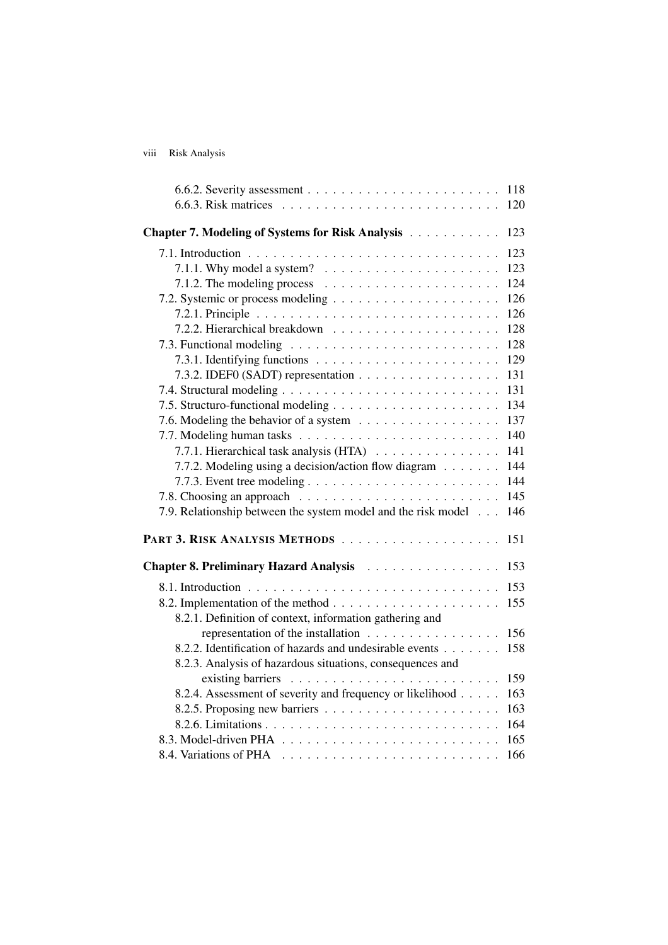## viii Risk Analysis

|                                                                               | 118 |
|-------------------------------------------------------------------------------|-----|
|                                                                               | 120 |
| Chapter 7. Modeling of Systems for Risk Analysis                              | 123 |
|                                                                               | 123 |
| 7.1.1. Why model a system? $\ldots \ldots \ldots \ldots \ldots \ldots$        | 123 |
| 7.1.2. The modeling process $\dots \dots \dots \dots \dots \dots \dots \dots$ | 124 |
|                                                                               | 126 |
|                                                                               | 126 |
|                                                                               | 128 |
|                                                                               | 128 |
|                                                                               | 129 |
| 7.3.2. IDEF0 (SADT) representation                                            | 131 |
|                                                                               | 131 |
|                                                                               | 134 |
|                                                                               | 137 |
|                                                                               | 140 |
| 7.7.1. Hierarchical task analysis (HTA)                                       | 141 |
| 7.7.2. Modeling using a decision/action flow diagram                          | 144 |
|                                                                               | 144 |
|                                                                               | 145 |
| 7.9. Relationship between the system model and the risk model                 | 146 |
|                                                                               | 151 |
| Chapter 8. Preliminary Hazard Analysis                                        | 153 |
|                                                                               | 153 |
|                                                                               | 155 |
| 8.2.1. Definition of context, information gathering and                       |     |
| representation of the installation                                            | 156 |
| 8.2.2. Identification of hazards and undesirable events                       | 158 |
| 8.2.3. Analysis of hazardous situations, consequences and                     |     |
|                                                                               | 159 |
| 8.2.4. Assessment of severity and frequency or likelihood                     | 163 |
|                                                                               | 163 |
|                                                                               | 164 |
|                                                                               | 165 |
|                                                                               | 166 |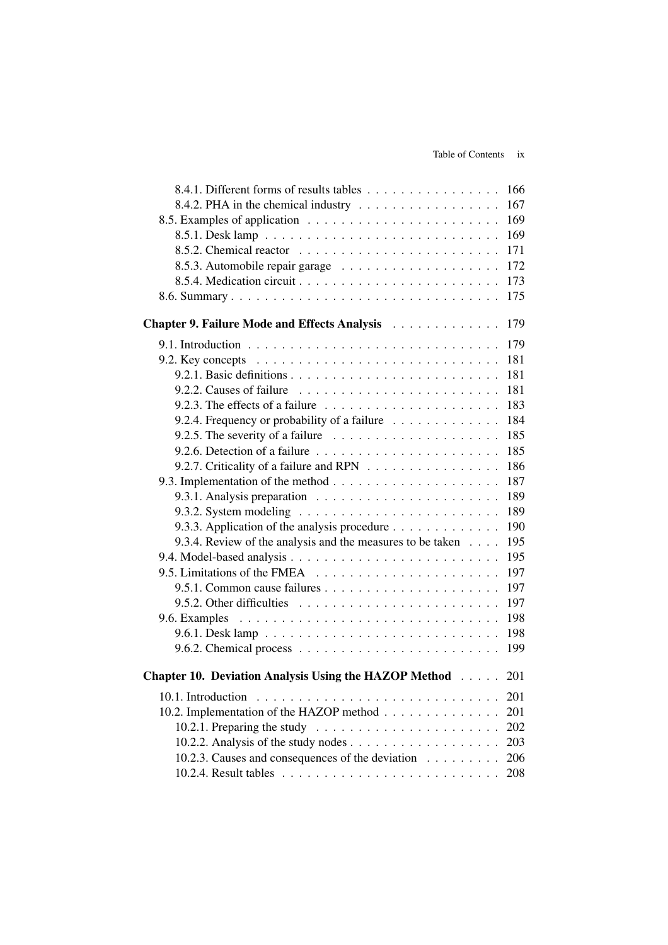| 8.4.1. Different forms of results tables                                                     | 166 |
|----------------------------------------------------------------------------------------------|-----|
| 8.4.2. PHA in the chemical industry $\dots \dots \dots \dots \dots \dots$                    | 167 |
|                                                                                              | 169 |
|                                                                                              | 169 |
|                                                                                              | 171 |
|                                                                                              | 172 |
|                                                                                              | 173 |
|                                                                                              | 175 |
| Chapter 9. Failure Mode and Effects Analysis                                                 | 179 |
|                                                                                              | 179 |
| 9.2. Key concepts $\ldots \ldots \ldots \ldots \ldots \ldots \ldots \ldots \ldots \ldots$    | 181 |
|                                                                                              | 181 |
|                                                                                              | 181 |
| 9.2.3. The effects of a failure $\dots \dots \dots \dots \dots \dots \dots \dots$            | 183 |
| 9.2.4. Frequency or probability of a failure                                                 | 184 |
| 9.2.5. The severity of a failure $\ldots \ldots \ldots \ldots \ldots \ldots$                 | 185 |
|                                                                                              | 185 |
| 9.2.7. Criticality of a failure and RPN                                                      | 186 |
|                                                                                              | 187 |
|                                                                                              | 189 |
| 9.3.2. System modeling $\ldots \ldots \ldots \ldots \ldots \ldots \ldots \ldots$             | 189 |
| 9.3.3. Application of the analysis procedure                                                 | 190 |
| 9.3.4. Review of the analysis and the measures to be taken                                   | 195 |
|                                                                                              | 195 |
|                                                                                              | 197 |
|                                                                                              | 197 |
| 9.5.2. Other difficulties $\ldots \ldots \ldots \ldots \ldots \ldots \ldots$                 | 197 |
| 9.6. Examples $\ldots \ldots \ldots \ldots \ldots \ldots \ldots \ldots \ldots \ldots \ldots$ | 198 |
|                                                                                              | 198 |
|                                                                                              | 199 |
| <b>Chapter 10. Deviation Analysis Using the HAZOP Method</b> 201                             |     |
|                                                                                              | 201 |
| 10.2. Implementation of the HAZOP method                                                     | 201 |
| 10.2.1. Preparing the study $\ldots \ldots \ldots \ldots \ldots \ldots \ldots$               | 202 |
|                                                                                              | 203 |
| 10.2.3. Causes and consequences of the deviation                                             | 206 |
|                                                                                              | 208 |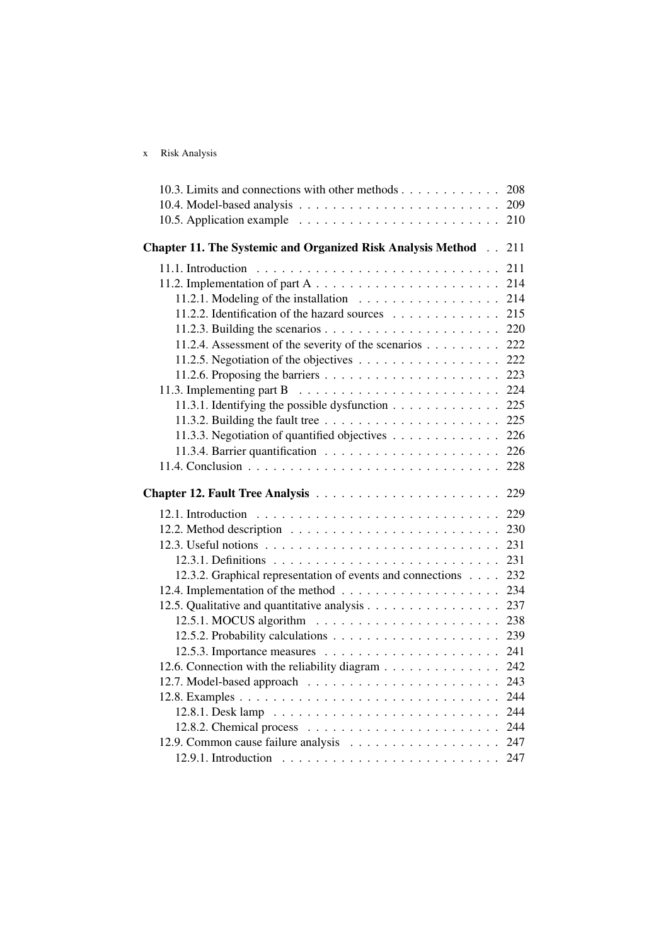|  | Risk Analysis |
|--|---------------|
|--|---------------|

| 10.3. Limits and connections with other methods                                               | 208 |
|-----------------------------------------------------------------------------------------------|-----|
|                                                                                               |     |
|                                                                                               | 210 |
| <b>Chapter 11. The Systemic and Organized Risk Analysis Method [154]</b>                      | 211 |
| 11.1. Introduction $\ldots \ldots \ldots \ldots \ldots \ldots \ldots \ldots \ldots$           | 211 |
|                                                                                               | 214 |
| 11.2.1. Modeling of the installation $\ldots \ldots \ldots \ldots \ldots$                     | 214 |
| 11.2.2. Identification of the hazard sources                                                  | 215 |
|                                                                                               | 220 |
| 11.2.4. Assessment of the severity of the scenarios 222                                       |     |
| 11.2.5. Negotiation of the objectives $\ldots \ldots \ldots \ldots \ldots \ldots$ 222         |     |
|                                                                                               |     |
| 11.3. Implementing part B $\ldots \ldots \ldots \ldots \ldots \ldots \ldots \ldots 224$       |     |
| 11.3.1. Identifying the possible dysfunction $\ldots \ldots \ldots \ldots$ 225                |     |
| 11.3.2. Building the fault tree $\ldots \ldots \ldots \ldots \ldots \ldots \ldots \ldots 225$ |     |
| 11.3.3. Negotiation of quantified objectives 226                                              |     |
|                                                                                               |     |
|                                                                                               |     |
|                                                                                               |     |
|                                                                                               |     |
|                                                                                               | 229 |
|                                                                                               | 230 |
|                                                                                               | 231 |
|                                                                                               | 231 |
| 12.3.2. Graphical representation of events and connections                                    | 232 |
|                                                                                               | 234 |
|                                                                                               | 237 |
| 12.5. Qualitative and quantitative analysis                                                   | 238 |
|                                                                                               | 239 |
|                                                                                               | 241 |
| 12.6. Connection with the reliability diagram                                                 | 242 |
|                                                                                               | 243 |
|                                                                                               | 244 |
|                                                                                               | 244 |
|                                                                                               |     |
|                                                                                               |     |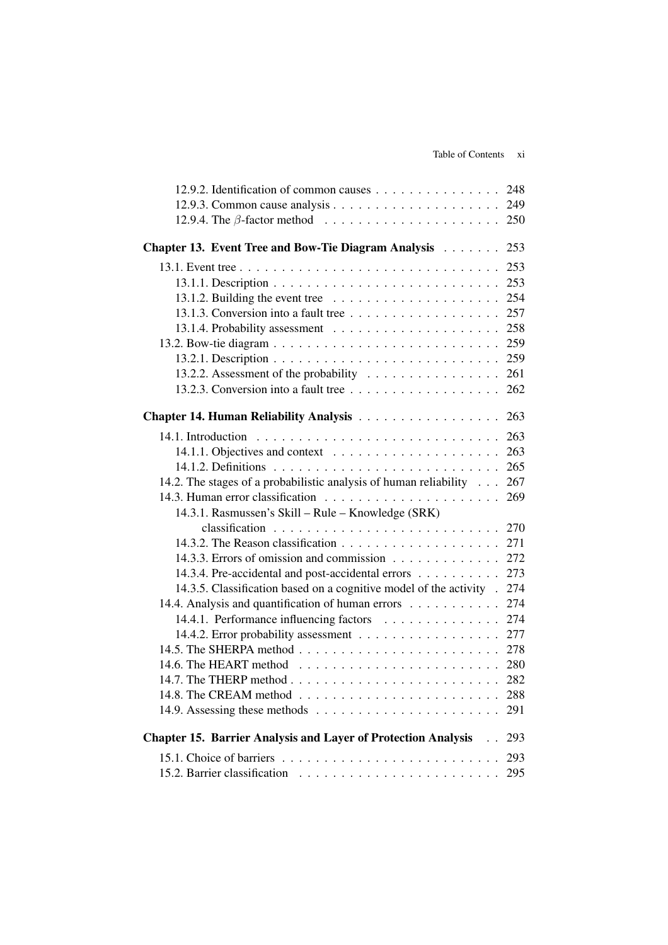| 12.9.2. Identification of common causes                                      | 248 |
|------------------------------------------------------------------------------|-----|
|                                                                              | 249 |
|                                                                              | 250 |
| Chapter 13. Event Tree and Bow-Tie Diagram Analysis                          | 253 |
|                                                                              | 253 |
|                                                                              | 253 |
| 13.1.2. Building the event tree $\ldots \ldots \ldots \ldots \ldots \ldots$  | 254 |
|                                                                              | 257 |
|                                                                              | 258 |
|                                                                              | 259 |
|                                                                              | 259 |
| 13.2.2. Assessment of the probability                                        | 261 |
|                                                                              | 262 |
|                                                                              |     |
| <b>Chapter 14. Human Reliability Analysis </b>                               | 263 |
|                                                                              | 263 |
| 14.1.1. Objectives and context $\ldots \ldots \ldots \ldots \ldots \ldots$   | 263 |
|                                                                              | 265 |
| 14.2. The stages of a probabilistic analysis of human reliability            | 267 |
|                                                                              | 269 |
| 14.3.1. Rasmussen's Skill - Rule - Knowledge (SRK)                           |     |
|                                                                              | 270 |
|                                                                              | 271 |
| 14.3.3. Errors of omission and commission                                    | 272 |
| 14.3.4. Pre-accidental and post-accidental errors                            | 273 |
| 14.3.5. Classification based on a cognitive model of the activity.           | 274 |
| 14.4. Analysis and quantification of human errors                            | 274 |
| 14.4.1. Performance influencing factors                                      | 274 |
|                                                                              | 277 |
|                                                                              | 278 |
|                                                                              |     |
|                                                                              | 282 |
|                                                                              | 288 |
|                                                                              | 291 |
|                                                                              |     |
| <b>Chapter 15. Barrier Analysis and Layer of Protection Analysis Fig. 4.</b> | 293 |
|                                                                              | 293 |
|                                                                              | 295 |